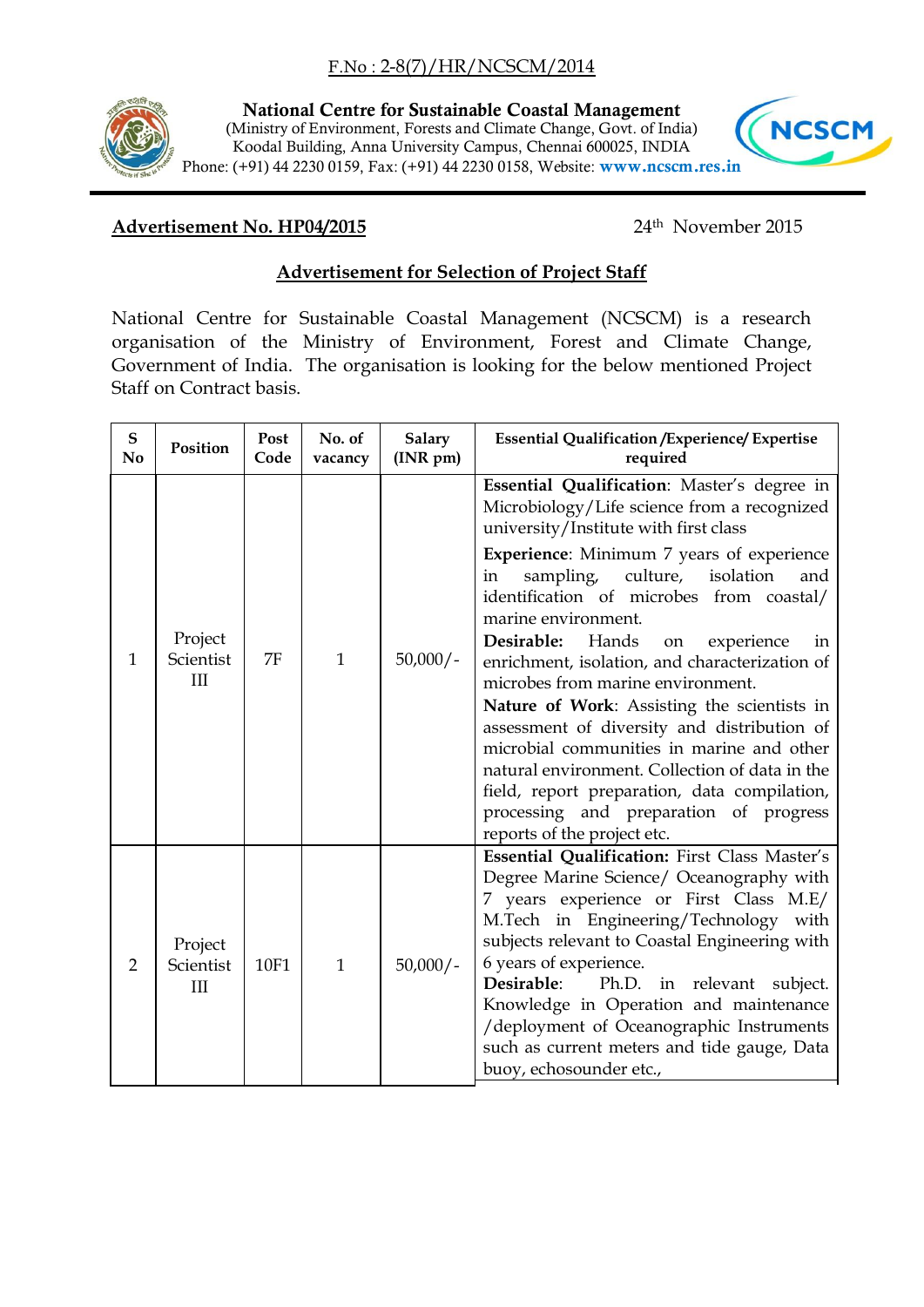## F.No : 2-8(7)/HR/NCSCM/2014



**National Centre for Sustainable Coastal Management** (Ministry of Environment, Forests and Climate Change, Govt. of India) Koodal Building, Anna University Campus, Chennai 600025, INDIA Phone: (+91) 44 2230 0159, Fax: (+91) 44 2230 0158, Website: **www.ncscm.res.in**



## **Advertisement No. HP04/2015**

24<sup>th</sup> November 2015

## **Advertisement for Selection of Project Staff**

National Centre for Sustainable Coastal Management (NCSCM) is a research organisation of the Ministry of Environment, Forest and Climate Change, Government of India. The organisation is looking for the below mentioned Project Staff on Contract basis.

| ${\bf S}$<br>No | Position                    | Post<br>Code | No. of<br>vacancy | <b>Salary</b><br>$(INR \text{ pm})$ | <b>Essential Qualification / Experience/ Expertise</b><br>required                                                                                                                                                                                                                                                                                                                                                                                                                                                                                                                                                                                                                                                                                                       |
|-----------------|-----------------------------|--------------|-------------------|-------------------------------------|--------------------------------------------------------------------------------------------------------------------------------------------------------------------------------------------------------------------------------------------------------------------------------------------------------------------------------------------------------------------------------------------------------------------------------------------------------------------------------------------------------------------------------------------------------------------------------------------------------------------------------------------------------------------------------------------------------------------------------------------------------------------------|
| 1               | Project<br>Scientist<br>III | 7F           | $\mathbf{1}$      | $50,000/-$                          | Essential Qualification: Master's degree in<br>Microbiology/Life science from a recognized<br>university/Institute with first class<br><b>Experience:</b> Minimum 7 years of experience<br>sampling, culture,<br>isolation<br>in<br>and<br>identification of microbes from coastal/<br>marine environment.<br>Desirable:<br>Hands<br>experience<br>on<br>in<br>enrichment, isolation, and characterization of<br>microbes from marine environment.<br>Nature of Work: Assisting the scientists in<br>assessment of diversity and distribution of<br>microbial communities in marine and other<br>natural environment. Collection of data in the<br>field, report preparation, data compilation,<br>processing and preparation of progress<br>reports of the project etc. |
| $\overline{2}$  | Project<br>Scientist<br>III | 10F1         | $\mathbf{1}$      | $50,000/-$                          | Essential Qualification: First Class Master's<br>Degree Marine Science/ Oceanography with<br>7 years experience or First Class M.E/<br>M.Tech in Engineering/Technology with<br>subjects relevant to Coastal Engineering with<br>6 years of experience.<br>Desirable:<br>Ph.D. in relevant subject.<br>Knowledge in Operation and maintenance<br>/deployment of Oceanographic Instruments<br>such as current meters and tide gauge, Data<br>buoy, echosounder etc.,                                                                                                                                                                                                                                                                                                      |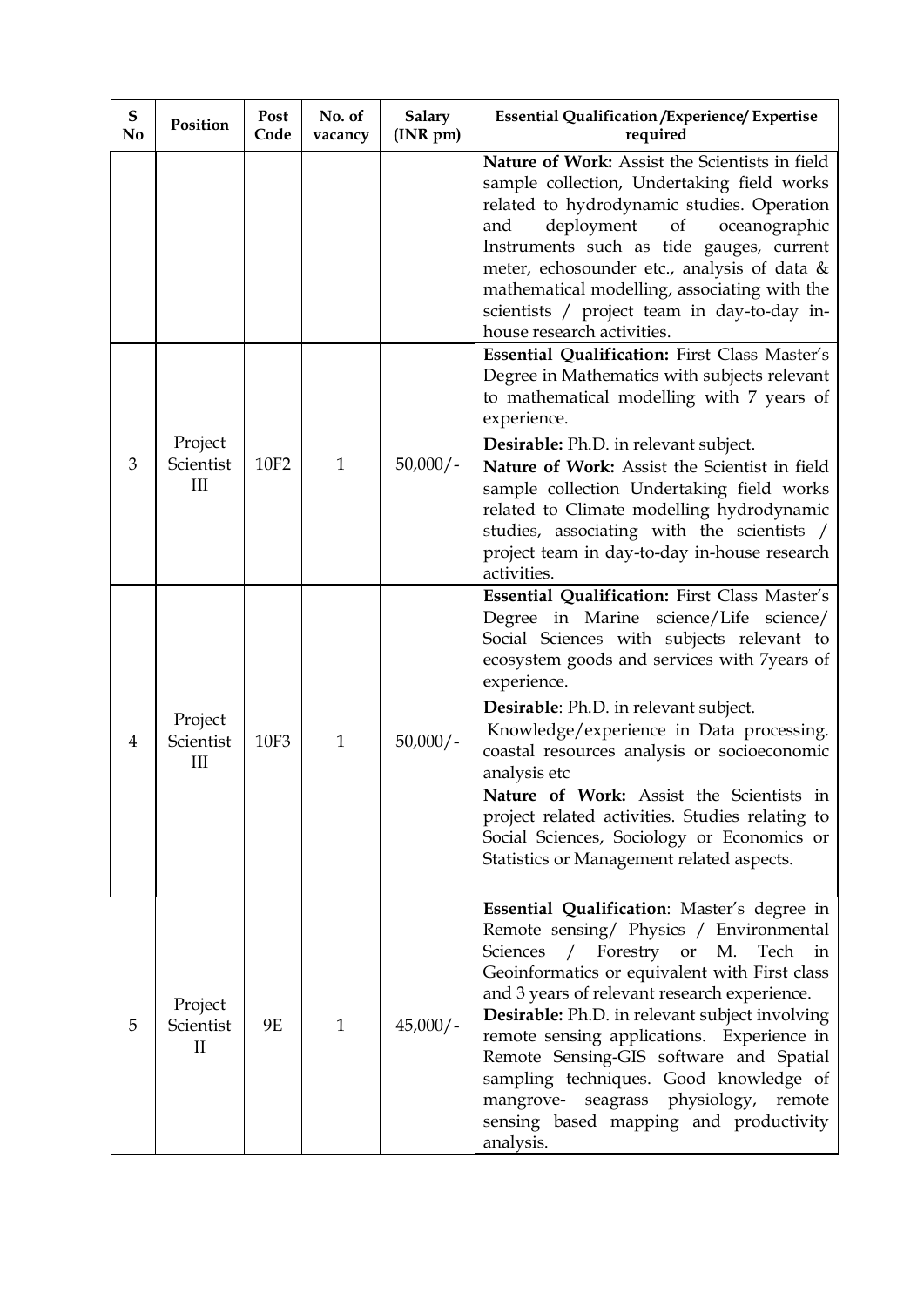| ${\bf S}$<br>No | Position                             | <b>Post</b><br>Code | No. of<br>vacancy | <b>Salary</b><br>(INR pm) | <b>Essential Qualification / Experience/ Expertise</b><br>required                                                                                                                                                                                                                                                                                                                                                                                                                                                                               |
|-----------------|--------------------------------------|---------------------|-------------------|---------------------------|--------------------------------------------------------------------------------------------------------------------------------------------------------------------------------------------------------------------------------------------------------------------------------------------------------------------------------------------------------------------------------------------------------------------------------------------------------------------------------------------------------------------------------------------------|
|                 |                                      |                     |                   |                           | Nature of Work: Assist the Scientists in field<br>sample collection, Undertaking field works<br>related to hydrodynamic studies. Operation<br>deployment of<br>oceanographic<br>and<br>Instruments such as tide gauges, current<br>meter, echosounder etc., analysis of data &<br>mathematical modelling, associating with the<br>scientists / project team in day-to-day in-<br>house research activities.                                                                                                                                      |
| 3               | Project<br>Scientist<br>III          | 10F <sub>2</sub>    | $\mathbf{1}$      | $50,000/-$                | Essential Qualification: First Class Master's<br>Degree in Mathematics with subjects relevant<br>to mathematical modelling with 7 years of<br>experience.<br>Desirable: Ph.D. in relevant subject.<br>Nature of Work: Assist the Scientist in field<br>sample collection Undertaking field works<br>related to Climate modelling hydrodynamic<br>studies, associating with the scientists /<br>project team in day-to-day in-house research<br>activities.                                                                                       |
| 4               | Project<br>Scientist<br>III          | <b>10F3</b>         | $\mathbf{1}$      | $50,000/-$                | Essential Qualification: First Class Master's<br>Degree in Marine science/Life science/<br>Social Sciences with subjects relevant to<br>ecosystem goods and services with 7years of<br>experience.<br>Desirable: Ph.D. in relevant subject.<br>Knowledge/experience in Data processing.<br>coastal resources analysis or socioeconomic<br>analysis etc<br>Nature of Work: Assist the Scientists in<br>project related activities. Studies relating to<br>Social Sciences, Sociology or Economics or<br>Statistics or Management related aspects. |
| 5               | Project<br>Scientist<br>$\mathbf{I}$ | 9E                  | $\mathbf{1}$      | $45,000/-$                | Essential Qualification: Master's degree in<br>Remote sensing/ Physics / Environmental<br>/ Forestry or M.<br>Sciences<br>Tech in<br>Geoinformatics or equivalent with First class<br>and 3 years of relevant research experience.<br>Desirable: Ph.D. in relevant subject involving<br>remote sensing applications. Experience in<br>Remote Sensing-GIS software and Spatial<br>sampling techniques. Good knowledge of<br>mangrove- seagrass physiology, remote<br>sensing based mapping and productivity<br>analysis.                          |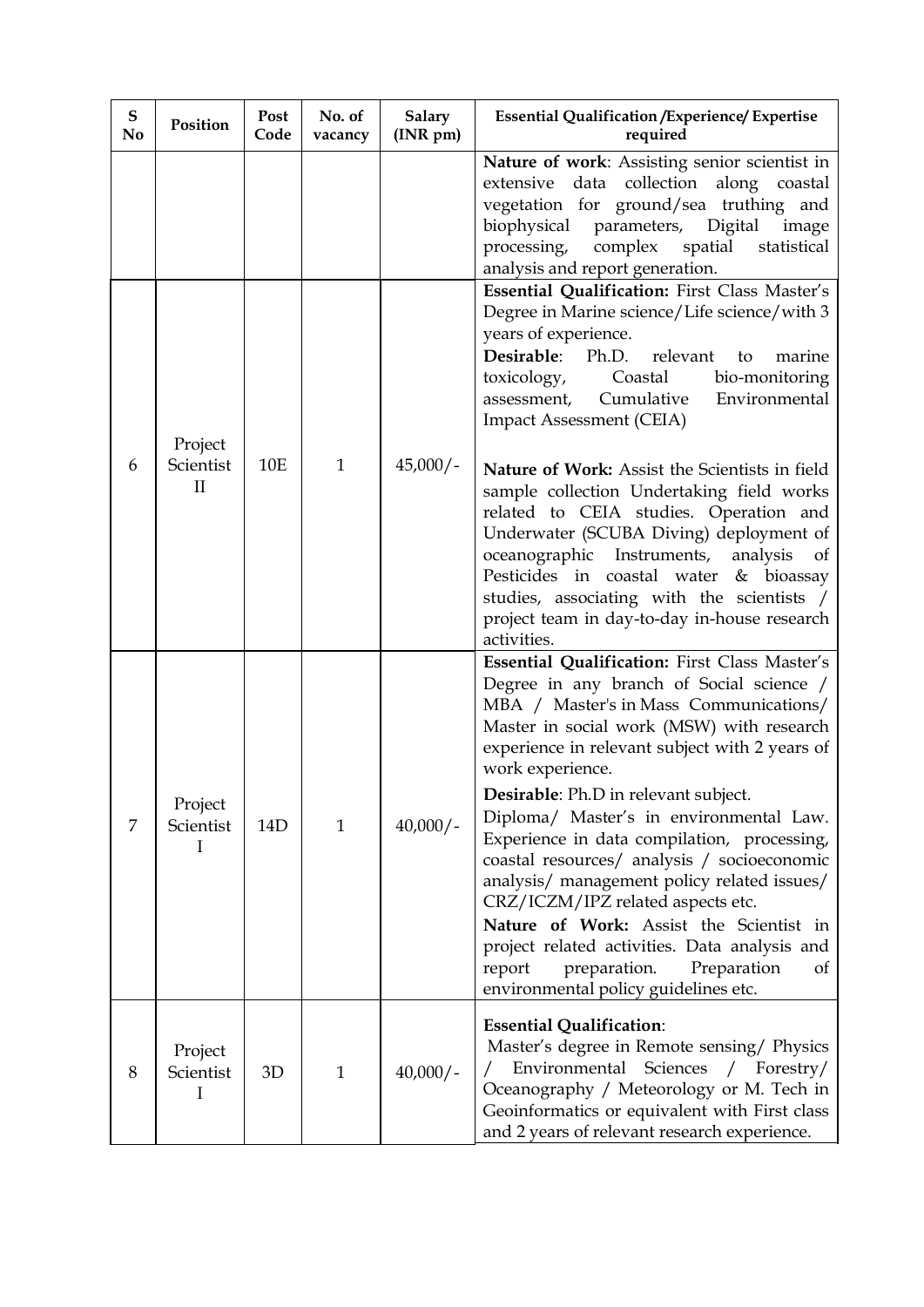| ${\bf S}$<br>N <sub>0</sub> | Position                  | Post<br>Code | No. of<br>vacancy | <b>Salary</b><br>$(INR \, pm)$ | <b>Essential Qualification / Experience/ Expertise</b><br>required                                                                                                                                                                                                                                                                                                                                                                                                                                                                                                                                                                                                                                             |
|-----------------------------|---------------------------|--------------|-------------------|--------------------------------|----------------------------------------------------------------------------------------------------------------------------------------------------------------------------------------------------------------------------------------------------------------------------------------------------------------------------------------------------------------------------------------------------------------------------------------------------------------------------------------------------------------------------------------------------------------------------------------------------------------------------------------------------------------------------------------------------------------|
|                             |                           |              |                   |                                | Nature of work: Assisting senior scientist in<br>data collection along coastal<br>extensive<br>vegetation for ground/sea truthing and<br>biophysical parameters, Digital<br>image<br>spatial statistical<br>processing,<br>complex<br>analysis and report generation.                                                                                                                                                                                                                                                                                                                                                                                                                                          |
|                             | Project                   |              |                   |                                | Essential Qualification: First Class Master's<br>Degree in Marine science/Life science/with 3<br>years of experience.<br>Desirable:<br>Ph.D. relevant<br>marine<br>to<br>toxicology,<br>Coastal<br>bio-monitoring<br>Cumulative<br>Environmental<br>assessment,<br><b>Impact Assessment (CEIA)</b>                                                                                                                                                                                                                                                                                                                                                                                                             |
| 6                           | Scientist<br>$\mathbf{I}$ | <b>10E</b>   | $\mathbf{1}$      | $45,000/-$                     | Nature of Work: Assist the Scientists in field<br>sample collection Undertaking field works<br>related to CEIA studies. Operation and<br>Underwater (SCUBA Diving) deployment of<br>oceanographic Instruments,<br>analysis<br>of<br>Pesticides in coastal water & bioassay<br>studies, associating with the scientists /<br>project team in day-to-day in-house research<br>activities.                                                                                                                                                                                                                                                                                                                        |
| 7                           | Project<br>Scientist<br>I | 14D          | $\mathbf{1}$      | $40,000/$ -                    | Essential Qualification: First Class Master's<br>Degree in any branch of Social science /<br>MBA / Master's in Mass Communications/<br>Master in social work (MSW) with research<br>experience in relevant subject with 2 years of<br>work experience.<br>Desirable: Ph.D in relevant subject.<br>Diploma/ Master's in environmental Law.<br>Experience in data compilation, processing,<br>coastal resources/ analysis / socioeconomic<br>analysis/ management policy related issues/<br>CRZ/ICZM/IPZ related aspects etc.<br>Nature of Work: Assist the Scientist in<br>project related activities. Data analysis and<br>preparation.<br>Preparation<br>report<br>οf<br>environmental policy guidelines etc. |
| 8                           | Project<br>Scientist<br>I | 3D           | $\mathbf{1}$      | $40,000/-$                     | <b>Essential Qualification:</b><br>Master's degree in Remote sensing/ Physics<br>Environmental Sciences<br>/ Forestry/<br>Oceanography / Meteorology or M. Tech in<br>Geoinformatics or equivalent with First class<br>and 2 years of relevant research experience.                                                                                                                                                                                                                                                                                                                                                                                                                                            |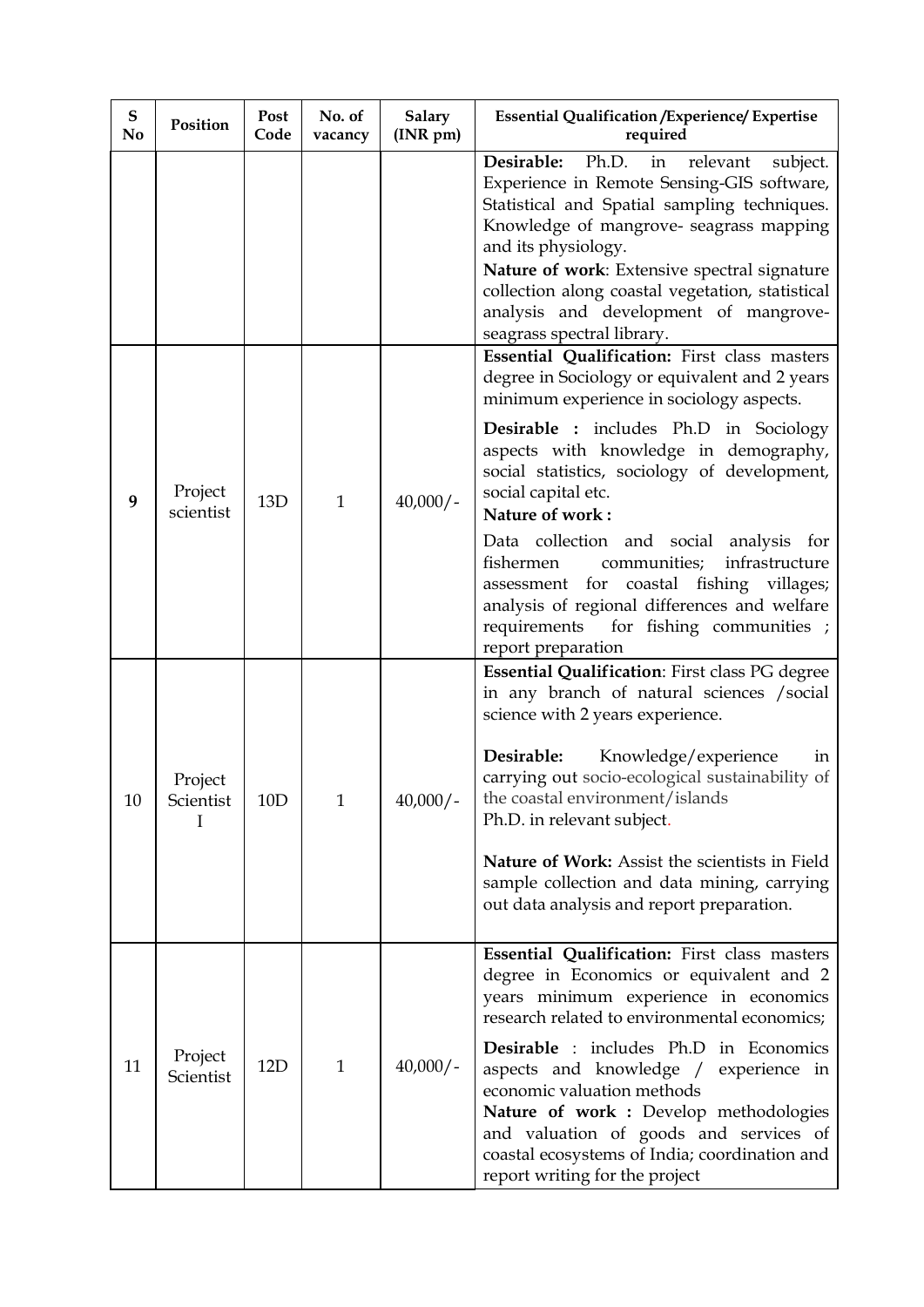| ${\bf S}$<br>N <sub>0</sub> | Position             | Post<br>Code | No. of<br>vacancy | Salary<br>(INR pm) | <b>Essential Qualification / Experience/ Expertise</b><br>required                                                                                                                                                                                                                                                                                                                                                                                                                 |
|-----------------------------|----------------------|--------------|-------------------|--------------------|------------------------------------------------------------------------------------------------------------------------------------------------------------------------------------------------------------------------------------------------------------------------------------------------------------------------------------------------------------------------------------------------------------------------------------------------------------------------------------|
|                             |                      |              |                   |                    | Desirable:<br>Ph.D.<br>in<br>relevant<br>subject.<br>Experience in Remote Sensing-GIS software,<br>Statistical and Spatial sampling techniques.<br>Knowledge of mangrove- seagrass mapping<br>and its physiology.<br>Nature of work: Extensive spectral signature<br>collection along coastal vegetation, statistical<br>analysis and development of mangrove-<br>seagrass spectral library.                                                                                       |
| 9                           | Project<br>scientist | 13D          | $\mathbf{1}$      | $40,000/-$         | Essential Qualification: First class masters<br>degree in Sociology or equivalent and 2 years<br>minimum experience in sociology aspects.<br>Desirable : includes Ph.D in Sociology<br>aspects with knowledge in demography,<br>social statistics, sociology of development,<br>social capital etc.<br>Nature of work:<br>Data collection and social analysis<br>for<br>communities;<br>fishermen<br>infrastructure<br>coastal fishing villages;<br>assessment for                 |
|                             |                      |              |                   |                    | analysis of regional differences and welfare<br>requirements for fishing communities ;<br>report preparation                                                                                                                                                                                                                                                                                                                                                                       |
| 10                          | Project<br>Scientist | 10D          | $\mathbf{1}$      | $40,000/-$         | Essential Qualification: First class PG degree<br>in any branch of natural sciences / social<br>science with 2 years experience.<br>Desirable:<br>Knowledge/experience<br>ın<br>carrying out socio-ecological sustainability of<br>the coastal environment/islands<br>Ph.D. in relevant subject.<br>Nature of Work: Assist the scientists in Field<br>sample collection and data mining, carrying<br>out data analysis and report preparation.                                     |
| 11                          | Project<br>Scientist | 12D          | $\mathbf{1}$      | $40,000/-$         | Essential Qualification: First class masters<br>degree in Economics or equivalent and 2<br>years minimum experience in economics<br>research related to environmental economics;<br><b>Desirable</b> : includes Ph.D in Economics<br>aspects and knowledge /<br>experience in<br>economic valuation methods<br>Nature of work : Develop methodologies<br>and valuation of goods and services of<br>coastal ecosystems of India; coordination and<br>report writing for the project |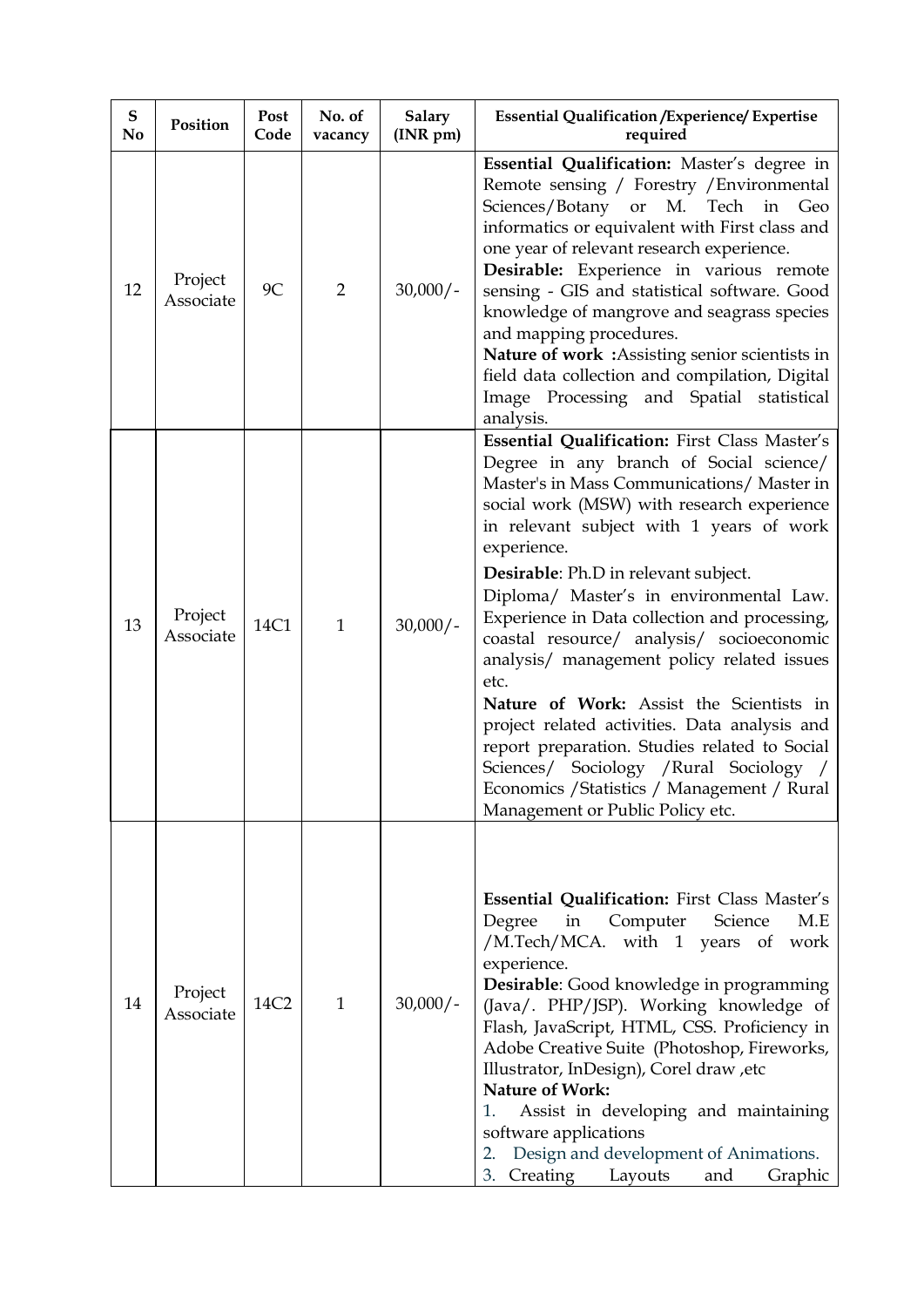| ${\bf S}$<br>N <sub>0</sub> | Position             | Post<br>Code | No. of<br>vacancy | <b>Salary</b><br>(INR pm) | <b>Essential Qualification / Experience/ Expertise</b><br>required                                                                                                                                                                                                                                                                                                                                                                                                                                                                                                                                                                                                                                                                                                        |
|-----------------------------|----------------------|--------------|-------------------|---------------------------|---------------------------------------------------------------------------------------------------------------------------------------------------------------------------------------------------------------------------------------------------------------------------------------------------------------------------------------------------------------------------------------------------------------------------------------------------------------------------------------------------------------------------------------------------------------------------------------------------------------------------------------------------------------------------------------------------------------------------------------------------------------------------|
| 12                          | Project<br>Associate | 9C           | $\overline{2}$    | $30,000/-$                | Essential Qualification: Master's degree in<br>Remote sensing / Forestry / Environmental<br>Sciences/Botany or M. Tech<br>in<br>Geo<br>informatics or equivalent with First class and<br>one year of relevant research experience.<br>Desirable: Experience in various remote<br>sensing - GIS and statistical software. Good<br>knowledge of mangrove and seagrass species<br>and mapping procedures.<br>Nature of work: Assisting senior scientists in<br>field data collection and compilation, Digital<br>Image Processing and Spatial statistical<br>analysis.                                                                                                                                                                                                       |
| 13                          | Project<br>Associate | 14C1         | $\mathbf{1}$      | $30,000/-$                | Essential Qualification: First Class Master's<br>Degree in any branch of Social science/<br>Master's in Mass Communications/ Master in<br>social work (MSW) with research experience<br>in relevant subject with 1 years of work<br>experience.<br><b>Desirable:</b> Ph.D in relevant subject.<br>Diploma/ Master's in environmental Law.<br>Experience in Data collection and processing,<br>coastal resource/ analysis/ socioeconomic<br>analysis/ management policy related issues<br>etc.<br>Nature of Work: Assist the Scientists in<br>project related activities. Data analysis and<br>report preparation. Studies related to Social<br>Sciences/ Sociology / Rural Sociology /<br>Economics / Statistics / Management / Rural<br>Management or Public Policy etc. |
| 14                          | Project<br>Associate | 14C2         | $\mathbf{1}$      | $30,000/-$                | <b>Essential Qualification:</b> First Class Master's<br>Computer<br>Degree<br>in<br>Science<br>M.E<br>/M.Tech/MCA. with 1 years of<br>work<br>experience.<br>Desirable: Good knowledge in programming<br>(Java/. PHP/JSP). Working knowledge of<br>Flash, JavaScript, HTML, CSS. Proficiency in<br>Adobe Creative Suite (Photoshop, Fireworks,<br>Illustrator, InDesign), Corel draw, etc<br><b>Nature of Work:</b><br>1.<br>Assist in developing and maintaining<br>software applications<br>Design and development of Animations.<br>2.<br>Creating<br>3.<br>Layouts<br>and<br>Graphic                                                                                                                                                                                  |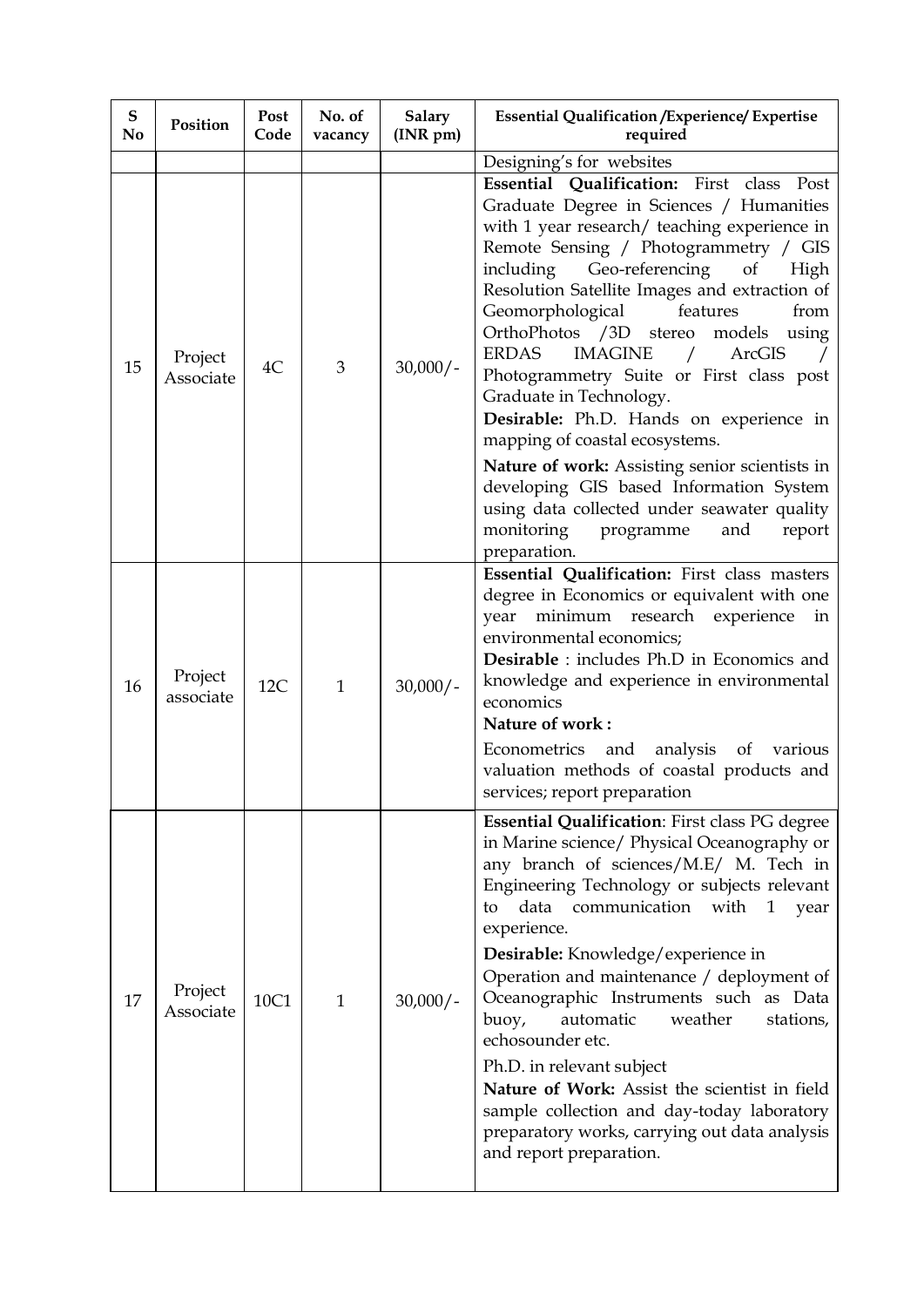| ${\bf S}$<br>N <sub>0</sub> | Position             | Post<br>Code | No. of<br>vacancy | <b>Salary</b><br>(INR pm) | <b>Essential Qualification / Experience/ Expertise</b><br>required                                                                                                                                                                                                                                                                                                                                                                                                                                                                                                                                                                                                                                                                                                                       |
|-----------------------------|----------------------|--------------|-------------------|---------------------------|------------------------------------------------------------------------------------------------------------------------------------------------------------------------------------------------------------------------------------------------------------------------------------------------------------------------------------------------------------------------------------------------------------------------------------------------------------------------------------------------------------------------------------------------------------------------------------------------------------------------------------------------------------------------------------------------------------------------------------------------------------------------------------------|
|                             |                      |              |                   |                           | Designing's for websites                                                                                                                                                                                                                                                                                                                                                                                                                                                                                                                                                                                                                                                                                                                                                                 |
| 15                          | Project<br>Associate | 4C           | 3                 | $30,000/-$                | Essential Qualification: First class Post<br>Graduate Degree in Sciences / Humanities<br>with 1 year research/ teaching experience in<br>Remote Sensing / Photogrammetry / GIS<br>Geo-referencing<br>including<br>of<br>High<br>Resolution Satellite Images and extraction of<br>Geomorphological<br>features<br>from<br>OrthoPhotos /3D stereo<br>models<br>using<br><b>ERDAS</b><br><b>IMAGINE</b><br>ArcGIS<br>$\sqrt{2}$<br>Photogrammetry Suite or First class post<br>Graduate in Technology.<br>Desirable: Ph.D. Hands on experience in<br>mapping of coastal ecosystems.<br>Nature of work: Assisting senior scientists in<br>developing GIS based Information System<br>using data collected under seawater quality<br>monitoring<br>programme<br>and<br>report<br>preparation. |
| 16                          | Project<br>associate | 12C          | $\mathbf{1}$      | $30,000/-$                | Essential Qualification: First class masters<br>degree in Economics or equivalent with one<br>minimum research experience in<br>year<br>environmental economics;<br>Desirable : includes Ph.D in Economics and<br>knowledge and experience in environmental<br>economics<br>Nature of work:<br>Econometrics and<br>analysis<br>of various<br>valuation methods of coastal products and<br>services; report preparation                                                                                                                                                                                                                                                                                                                                                                   |
| 17                          | Project<br>Associate | 10C1         | $\mathbf{1}$      | $30,000/-$                | Essential Qualification: First class PG degree<br>in Marine science/ Physical Oceanography or<br>any branch of sciences/M.E/ M. Tech in<br>Engineering Technology or subjects relevant<br>data communication with<br>to<br>$\mathbf{1}$<br>year<br>experience.<br>Desirable: Knowledge/experience in<br>Operation and maintenance / deployment of<br>Oceanographic Instruments such as Data<br>buoy,<br>automatic<br>weather<br>stations,<br>echosounder etc.<br>Ph.D. in relevant subject<br>Nature of Work: Assist the scientist in field<br>sample collection and day-today laboratory<br>preparatory works, carrying out data analysis<br>and report preparation.                                                                                                                    |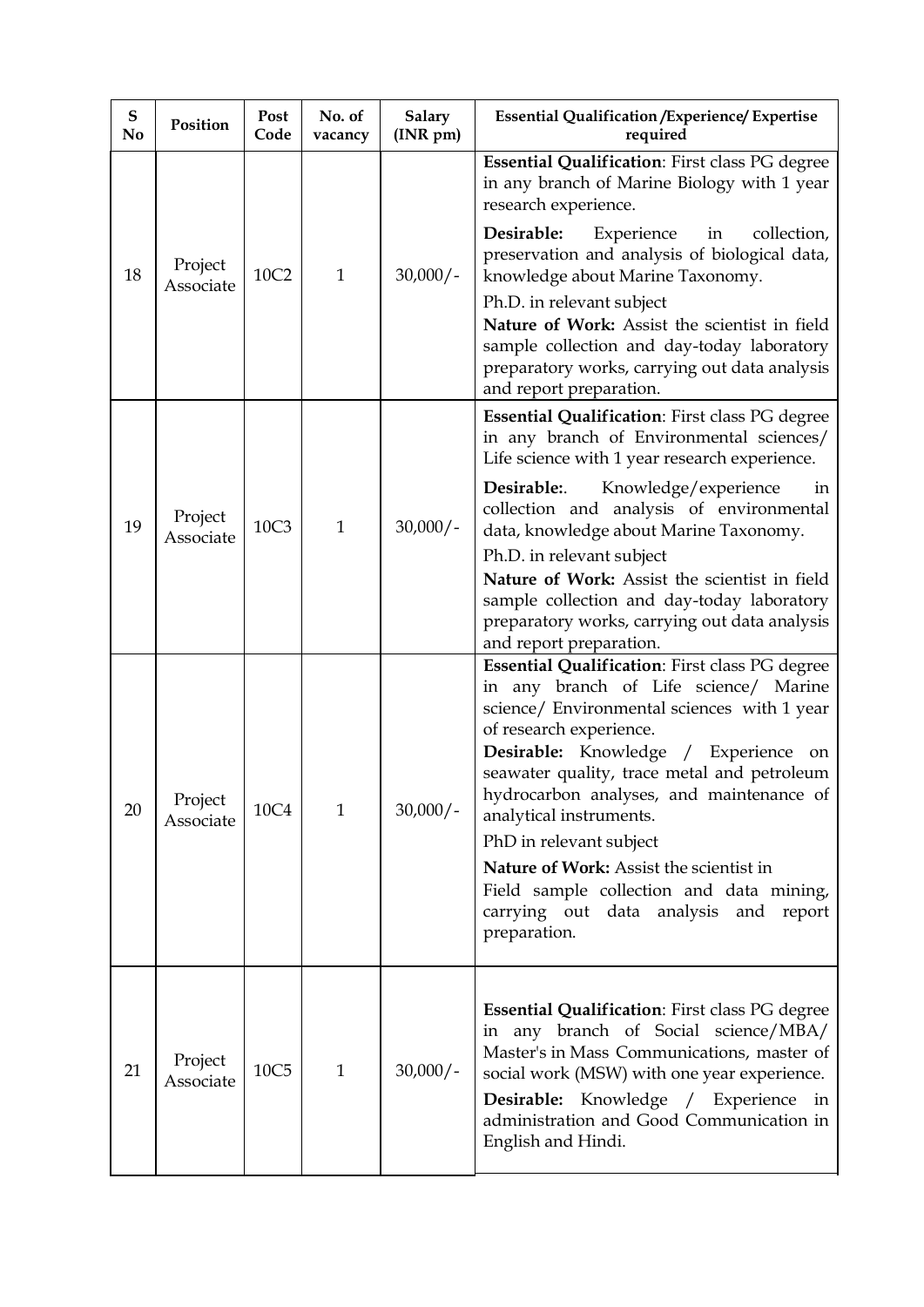| ${\bf S}$<br>N <sub>o</sub> | Position             | <b>Post</b><br>Code | No. of<br>vacancy | <b>Salary</b><br>(INR pm) | <b>Essential Qualification / Experience/ Expertise</b><br>required                                                                                                                                                                                                                                                                                                                                                                                                                                            |
|-----------------------------|----------------------|---------------------|-------------------|---------------------------|---------------------------------------------------------------------------------------------------------------------------------------------------------------------------------------------------------------------------------------------------------------------------------------------------------------------------------------------------------------------------------------------------------------------------------------------------------------------------------------------------------------|
| 18                          | Project              | 10C2                | $\mathbf{1}$      | $30,000/-$                | Essential Qualification: First class PG degree<br>in any branch of Marine Biology with 1 year<br>research experience.<br>Desirable:<br>Experience in<br>collection,<br>preservation and analysis of biological data,<br>knowledge about Marine Taxonomy.                                                                                                                                                                                                                                                      |
|                             | Associate            |                     |                   |                           | Ph.D. in relevant subject<br>Nature of Work: Assist the scientist in field<br>sample collection and day-today laboratory<br>preparatory works, carrying out data analysis<br>and report preparation.                                                                                                                                                                                                                                                                                                          |
|                             |                      |                     |                   |                           | <b>Essential Qualification: First class PG degree</b><br>in any branch of Environmental sciences/<br>Life science with 1 year research experience.                                                                                                                                                                                                                                                                                                                                                            |
| 19                          | Project<br>Associate | 10C3                | $\mathbf{1}$      | $30,000/-$                | Desirable:<br>Knowledge/experience<br>in<br>collection and analysis of environmental<br>data, knowledge about Marine Taxonomy.                                                                                                                                                                                                                                                                                                                                                                                |
|                             |                      |                     |                   |                           | Ph.D. in relevant subject<br>Nature of Work: Assist the scientist in field<br>sample collection and day-today laboratory<br>preparatory works, carrying out data analysis<br>and report preparation.                                                                                                                                                                                                                                                                                                          |
| 20                          | Project<br>Associate | 10C4                | $\mathbf{1}$      | $30,000/-$                | Essential Qualification: First class PG degree<br>in any branch of Life science/ Marine<br>science/ Environmental sciences with 1 year<br>of research experience.<br>Desirable: Knowledge / Experience on<br>seawater quality, trace metal and petroleum<br>hydrocarbon analyses, and maintenance of<br>analytical instruments.<br>PhD in relevant subject<br>Nature of Work: Assist the scientist in<br>Field sample collection and data mining,<br>carrying out data analysis and<br>report<br>preparation. |
| 21                          | Project<br>Associate | 10C <sub>5</sub>    | $\mathbf{1}$      | $30,000/-$                | <b>Essential Qualification:</b> First class PG degree<br>in any branch of Social science/MBA/<br>Master's in Mass Communications, master of<br>social work (MSW) with one year experience.<br>Desirable: Knowledge / Experience in<br>administration and Good Communication in<br>English and Hindi.                                                                                                                                                                                                          |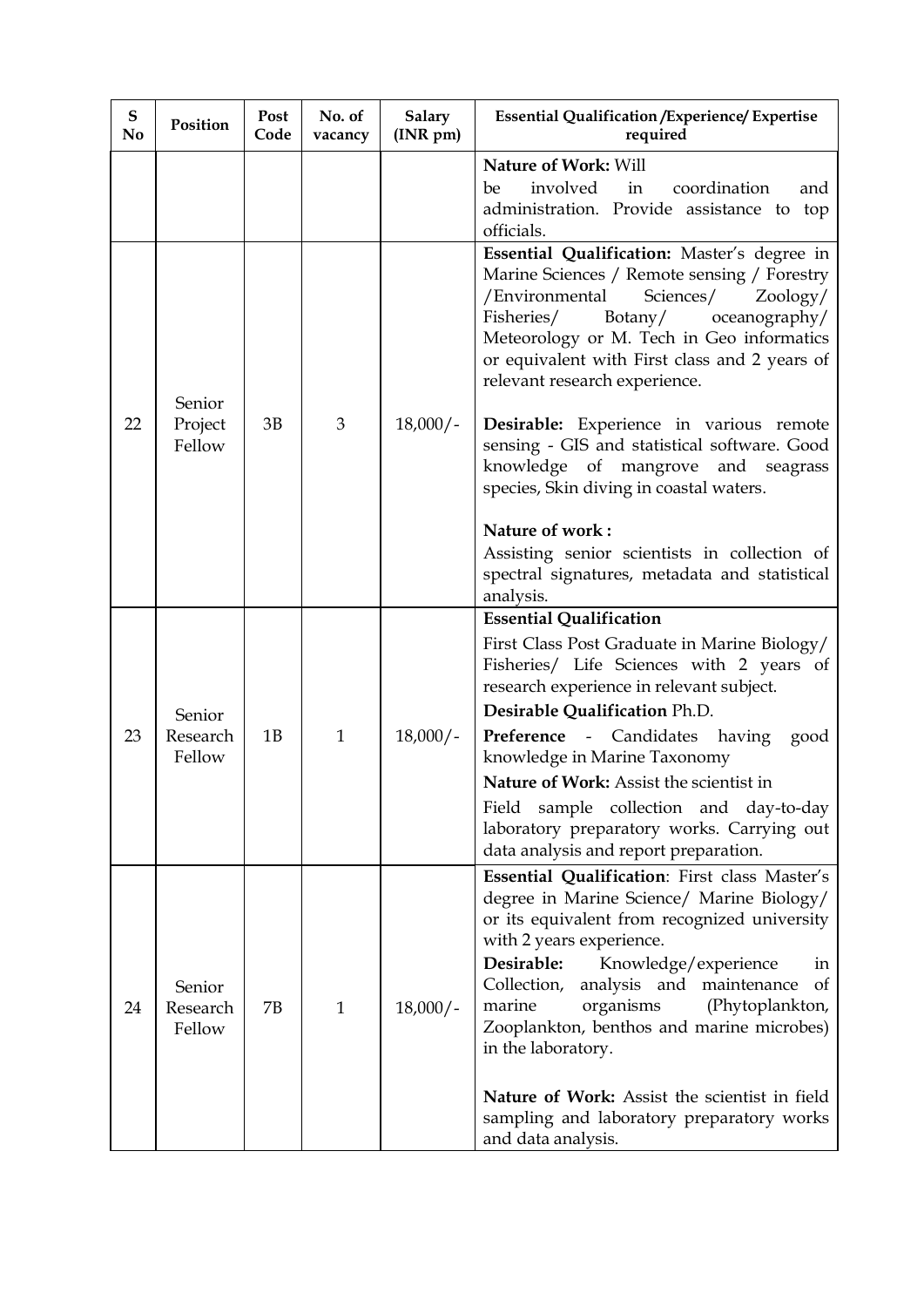| ${\bf S}$<br>N <sub>o</sub> | Position                     | <b>Post</b><br>Code | No. of<br>vacancy | <b>Salary</b><br>(INR pm) | <b>Essential Qualification / Experience/ Expertise</b><br>required                                                                                                                                                                                                                                                                                                                                                                                                                                           |
|-----------------------------|------------------------------|---------------------|-------------------|---------------------------|--------------------------------------------------------------------------------------------------------------------------------------------------------------------------------------------------------------------------------------------------------------------------------------------------------------------------------------------------------------------------------------------------------------------------------------------------------------------------------------------------------------|
|                             |                              |                     |                   |                           | <b>Nature of Work: Will</b><br>involved<br>in<br>coordination<br>be<br>and<br>administration. Provide assistance to top<br>officials.                                                                                                                                                                                                                                                                                                                                                                        |
| 22                          | Senior<br>Project<br>Fellow  | 3B                  | 3                 | $18,000/-$                | Essential Qualification: Master's degree in<br>Marine Sciences / Remote sensing / Forestry<br>/Environmental<br>Sciences/<br>Zoology/<br>Fisheries/<br>Botany/<br>oceanography/<br>Meteorology or M. Tech in Geo informatics<br>or equivalent with First class and 2 years of<br>relevant research experience.<br>Desirable: Experience in various remote<br>sensing - GIS and statistical software. Good<br>knowledge of mangrove and seagrass<br>species, Skin diving in coastal waters.                   |
|                             |                              |                     |                   |                           | Nature of work:<br>Assisting senior scientists in collection of<br>spectral signatures, metadata and statistical<br>analysis.                                                                                                                                                                                                                                                                                                                                                                                |
| 23                          | Senior<br>Research<br>Fellow | 1B                  | $\mathbf{1}$      | $18,000/-$                | <b>Essential Qualification</b><br>First Class Post Graduate in Marine Biology/<br>Fisheries/ Life Sciences with 2 years of<br>research experience in relevant subject.<br>Desirable Qualification Ph.D.<br><b>Preference -</b> Candidates having<br>good<br>knowledge in Marine Taxonomy<br>Nature of Work: Assist the scientist in<br>sample collection and day-to-day<br>Field<br>laboratory preparatory works. Carrying out<br>data analysis and report preparation.                                      |
| 24                          | Senior<br>Research<br>Fellow | 7B                  | $\mathbf{1}$      | $18,000/-$                | Essential Qualification: First class Master's<br>degree in Marine Science/ Marine Biology/<br>or its equivalent from recognized university<br>with 2 years experience.<br>Desirable:<br>Knowledge/experience<br>in<br>Collection, analysis and maintenance<br><sub>of</sub><br>organisms<br>(Phytoplankton,<br>marine<br>Zooplankton, benthos and marine microbes)<br>in the laboratory.<br>Nature of Work: Assist the scientist in field<br>sampling and laboratory preparatory works<br>and data analysis. |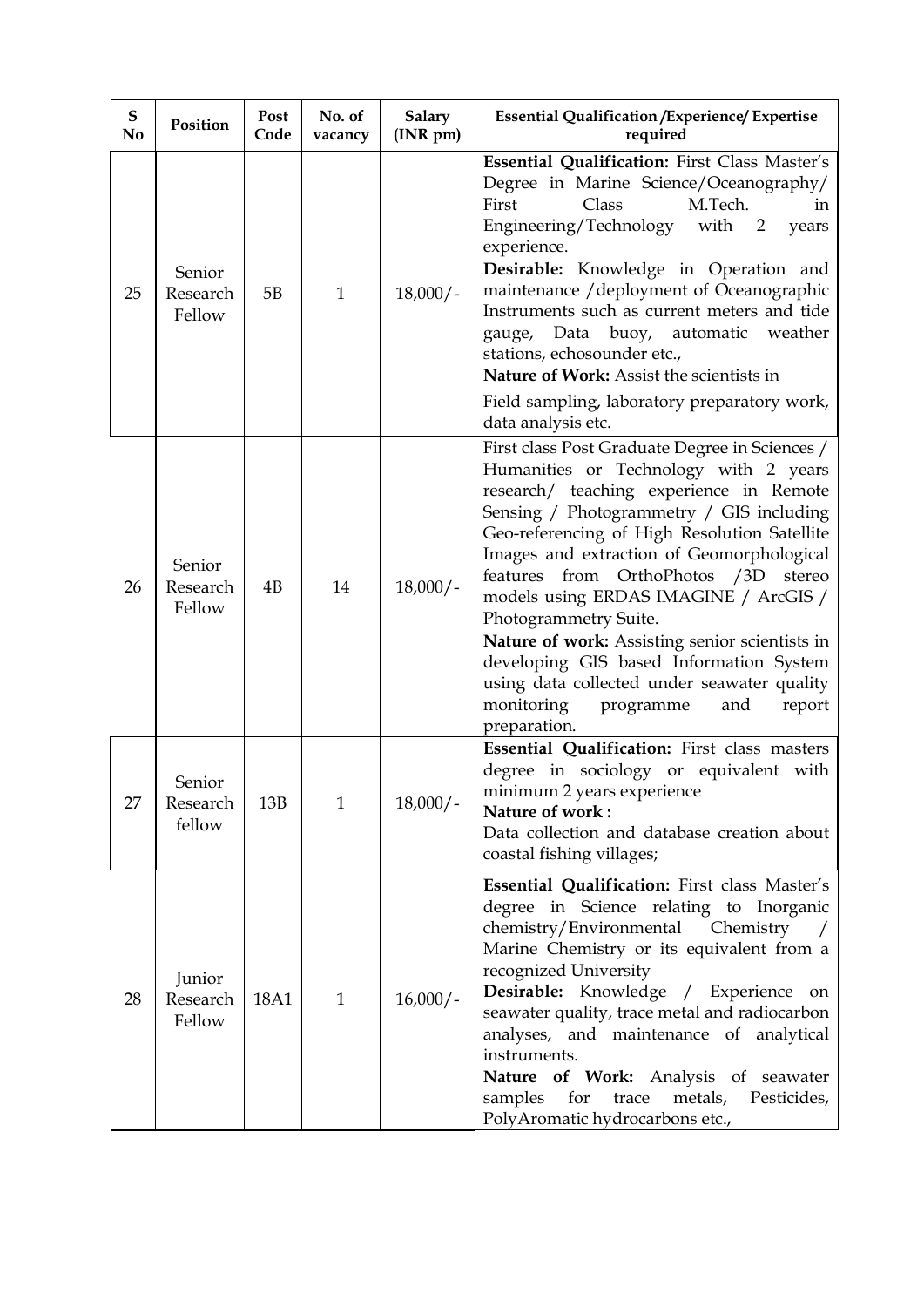| ${\bf S}$<br>No | Position                     | Post<br>Code | No. of<br>vacancy | <b>Salary</b><br>$(INR \, pm)$ | <b>Essential Qualification / Experience/ Expertise</b><br>required                                                                                                                                                                                                                                                                                                                                                                                                                                                                                                                                  |
|-----------------|------------------------------|--------------|-------------------|--------------------------------|-----------------------------------------------------------------------------------------------------------------------------------------------------------------------------------------------------------------------------------------------------------------------------------------------------------------------------------------------------------------------------------------------------------------------------------------------------------------------------------------------------------------------------------------------------------------------------------------------------|
| 25              | Senior<br>Research<br>Fellow | 5B           | $\mathbf{1}$      | $18,000/-$                     | Essential Qualification: First Class Master's<br>Degree in Marine Science/Oceanography/<br>M.Tech.<br>First<br>Class<br>in<br>Engineering/Technology with 2<br>years<br>experience.<br>Desirable: Knowledge in Operation and<br>maintenance / deployment of Oceanographic<br>Instruments such as current meters and tide<br>Data buoy, automatic weather<br>gauge,<br>stations, echosounder etc.,<br>Nature of Work: Assist the scientists in<br>Field sampling, laboratory preparatory work,<br>data analysis etc.                                                                                 |
| 26              | Senior<br>Research<br>Fellow | 4B           | 14                | $18,000/-$                     | First class Post Graduate Degree in Sciences /<br>Humanities or Technology with 2 years<br>research/ teaching experience in Remote<br>Sensing / Photogrammetry / GIS including<br>Geo-referencing of High Resolution Satellite<br>Images and extraction of Geomorphological<br>OrthoPhotos /3D<br>features from<br>stereo<br>models using ERDAS IMAGINE / ArcGIS /<br>Photogrammetry Suite.<br>Nature of work: Assisting senior scientists in<br>developing GIS based Information System<br>using data collected under seawater quality<br>monitoring<br>programme<br>and<br>report<br>preparation. |
| 27              | Senior<br>Research<br>fellow | 13B          | $\mathbf{1}$      | $18,000/-$                     | Essential Qualification: First class masters<br>degree in sociology or equivalent with<br>minimum 2 years experience<br>Nature of work:<br>Data collection and database creation about<br>coastal fishing villages;                                                                                                                                                                                                                                                                                                                                                                                 |
| 28              | Junior<br>Research<br>Fellow | 18A1         | $\mathbf{1}$      | $16,000/-$                     | Essential Qualification: First class Master's<br>degree in Science relating to Inorganic<br>chemistry/Environmental<br>Chemistry<br>Marine Chemistry or its equivalent from a<br>recognized University<br>Desirable: Knowledge / Experience on<br>seawater quality, trace metal and radiocarbon<br>analyses, and maintenance of analytical<br>instruments.<br>Nature of Work: Analysis of seawater<br>samples<br>for<br>trace<br>metals,<br>Pesticides,<br>PolyAromatic hydrocarbons etc.,                                                                                                          |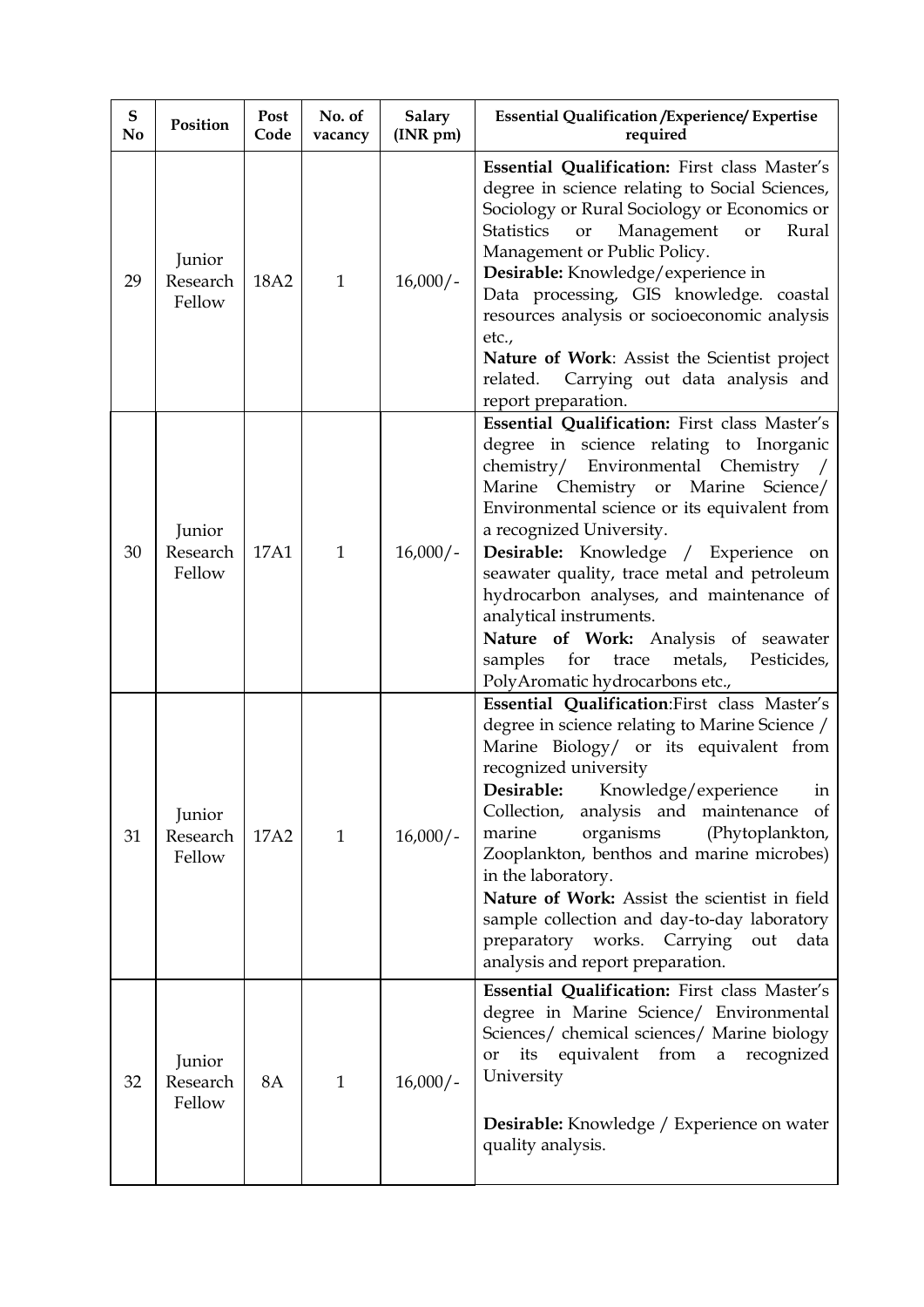| ${\bf S}$<br>No | Position                     | Post<br>Code | No. of<br>vacancy | <b>Salary</b><br>(INR pm) | <b>Essential Qualification / Experience/ Expertise</b><br>required                                                                                                                                                                                                                                                                                                                                                                                                                                                                                 |
|-----------------|------------------------------|--------------|-------------------|---------------------------|----------------------------------------------------------------------------------------------------------------------------------------------------------------------------------------------------------------------------------------------------------------------------------------------------------------------------------------------------------------------------------------------------------------------------------------------------------------------------------------------------------------------------------------------------|
| 29              | Junior<br>Research<br>Fellow | 18A2         | $\mathbf{1}$      | $16,000/-$                | Essential Qualification: First class Master's<br>degree in science relating to Social Sciences,<br>Sociology or Rural Sociology or Economics or<br>Management<br><b>Statistics</b><br>Rural<br>or<br>or<br>Management or Public Policy.<br>Desirable: Knowledge/experience in<br>Data processing, GIS knowledge. coastal<br>resources analysis or socioeconomic analysis<br>etc.,<br>Nature of Work: Assist the Scientist project<br>Carrying out data analysis and<br>related.<br>report preparation.                                             |
| 30              | Junior<br>Research<br>Fellow | 17A1         | $\mathbf{1}$      | $16,000/-$                | Essential Qualification: First class Master's<br>degree in science relating to Inorganic<br>chemistry/ Environmental Chemistry /<br>Marine Chemistry or Marine Science/<br>Environmental science or its equivalent from<br>a recognized University.<br>Desirable: Knowledge / Experience on<br>seawater quality, trace metal and petroleum<br>hydrocarbon analyses, and maintenance of<br>analytical instruments.<br>Nature of Work: Analysis of seawater<br>samples<br>metals, Pesticides,<br>for<br>trace<br>PolyAromatic hydrocarbons etc.,     |
| 31              | Junior<br>Research<br>Fellow | 17A2         | $\mathbf{1}$      | $16,000/-$                | Essential Qualification: First class Master's<br>degree in science relating to Marine Science /<br>Marine Biology/ or its equivalent from<br>recognized university<br>Desirable: Knowledge/experience<br>in<br>Collection, analysis and maintenance of<br>organisms<br>(Phytoplankton,<br>marine<br>Zooplankton, benthos and marine microbes)<br>in the laboratory.<br>Nature of Work: Assist the scientist in field<br>sample collection and day-to-day laboratory<br>preparatory works. Carrying out<br>data<br>analysis and report preparation. |
| 32              | Junior<br>Research<br>Fellow | <b>8A</b>    | $\mathbf{1}$      | $16,000/-$                | Essential Qualification: First class Master's<br>degree in Marine Science/ Environmental<br>Sciences/ chemical sciences/ Marine biology<br>its equivalent from a recognized<br><b>or</b><br>University<br><b>Desirable:</b> Knowledge / Experience on water<br>quality analysis.                                                                                                                                                                                                                                                                   |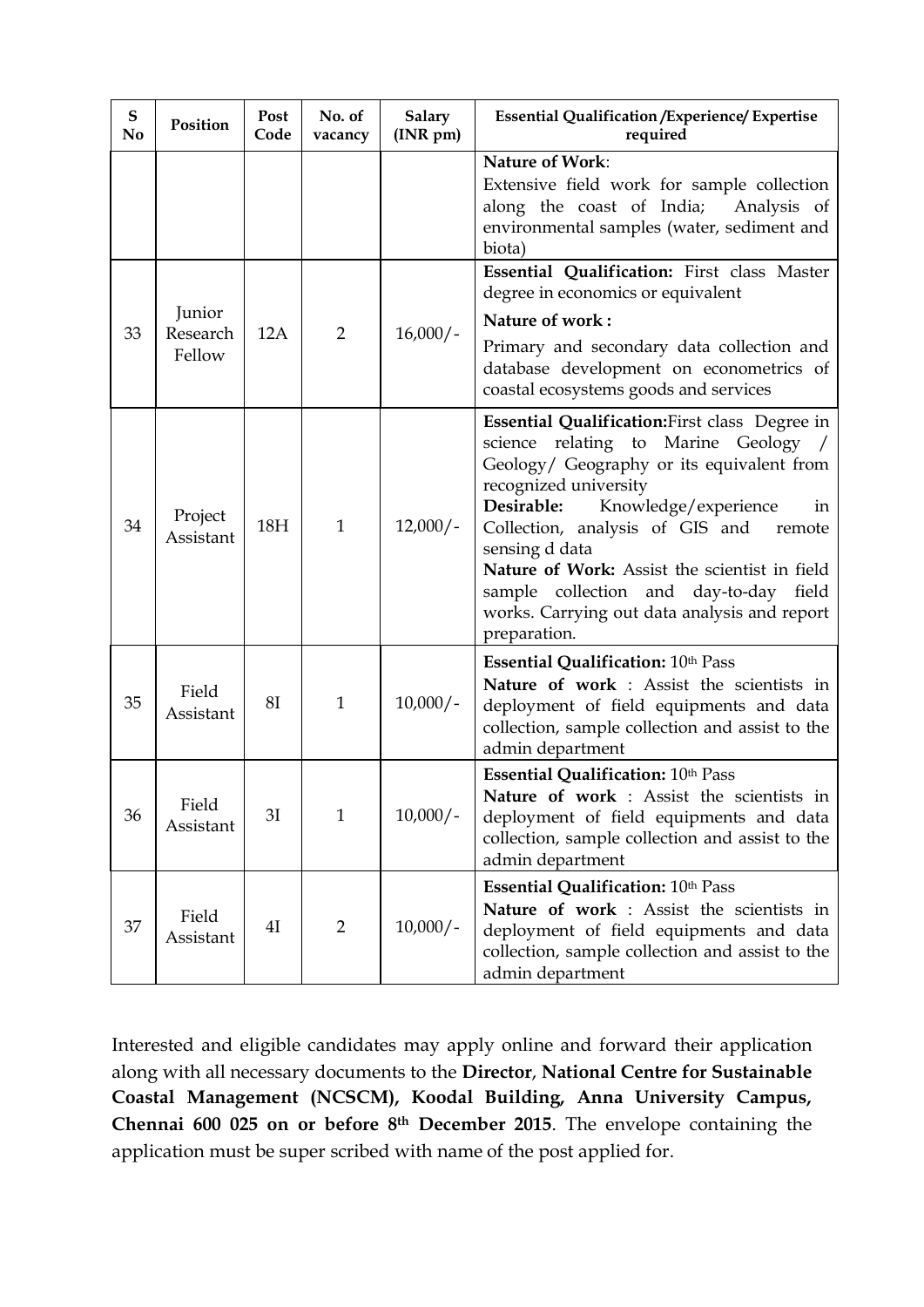| ${\bf S}$<br>No | Position                     | <b>Post</b><br>Code | No. of<br>vacancy | <b>Salary</b><br>(INR pm) | <b>Essential Qualification / Experience/ Expertise</b><br>required                                                                                                                                                                                                                                                                                                                                                                 |
|-----------------|------------------------------|---------------------|-------------------|---------------------------|------------------------------------------------------------------------------------------------------------------------------------------------------------------------------------------------------------------------------------------------------------------------------------------------------------------------------------------------------------------------------------------------------------------------------------|
|                 |                              |                     |                   |                           | <b>Nature of Work:</b><br>Extensive field work for sample collection<br>along the coast of India;<br>Analysis of<br>environmental samples (water, sediment and<br>biota)                                                                                                                                                                                                                                                           |
| 33              | Junior<br>Research<br>Fellow | 12A                 | $\overline{2}$    | $16,000/-$                | Essential Qualification: First class Master<br>degree in economics or equivalent<br>Nature of work:<br>Primary and secondary data collection and<br>database development on econometrics of<br>coastal ecosystems goods and services                                                                                                                                                                                               |
| 34              | Project<br>Assistant         | 18H                 | $\mathbf{1}$      | $12,000/-$                | Essential Qualification: First class Degree in<br>science relating to Marine Geology /<br>Geology/ Geography or its equivalent from<br>recognized university<br>Desirable:<br>Knowledge/experience<br>in<br>Collection, analysis of GIS and<br>remote<br>sensing d data<br>Nature of Work: Assist the scientist in field<br>sample collection and day-to-day field<br>works. Carrying out data analysis and report<br>preparation. |
| 35              | Field<br>Assistant           | <b>8I</b>           | $\mathbf{1}$      | $10,000/-$                | <b>Essential Qualification: 10th Pass</b><br>Nature of work : Assist the scientists in<br>deployment of field equipments and data<br>collection, sample collection and assist to the<br>admin department                                                                                                                                                                                                                           |
| 36              | Field<br>Assistant           | 3I                  | $\mathbf{1}$      | $10,000/-$                | Essential Qualification: 10th Pass<br>Nature of work : Assist the scientists in<br>deployment of field equipments and data<br>collection, sample collection and assist to the<br>admin department                                                                                                                                                                                                                                  |
| 37              | Field<br>Assistant           | 41                  | $\overline{2}$    | $10,000/-$                | Essential Qualification: 10th Pass<br>Nature of work : Assist the scientists in<br>deployment of field equipments and data<br>collection, sample collection and assist to the<br>admin department                                                                                                                                                                                                                                  |

Interested and eligible candidates may apply online and forward their application along with all necessary documents to the **Director**, **National Centre for Sustainable Coastal Management (NCSCM), Koodal Building, Anna University Campus, Chennai 600 025 on or before 8 th December 2015**. The envelope containing the application must be super scribed with name of the post applied for.